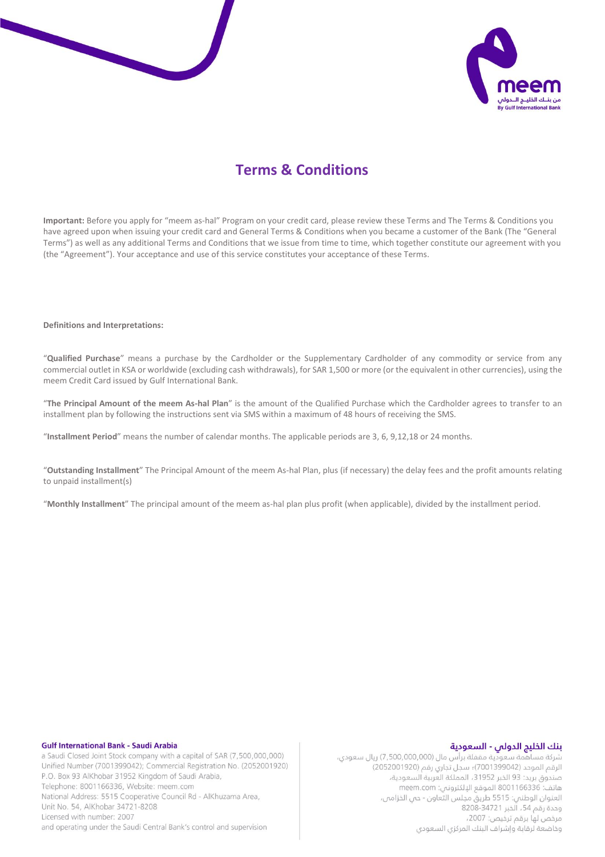



# **Terms & Conditions**

**Important:** Before you apply for "meem as-hal" Program on your credit card, please review these Terms and The Terms & Conditions you have agreed upon when issuing your credit card and General Terms & Conditions when you became a customer of the Bank (The "General Terms") as well as any additional Terms and Conditions that we issue from time to time, which together constitute our agreement with you (the "Agreement"). Your acceptance and use of this service constitutes your acceptance of these Terms.

#### **Definitions and Interpretations:**

"**Qualified Purchase**" means a purchase by the Cardholder or the Supplementary Cardholder of any commodity or service from any commercial outlet in KSA or worldwide (excluding cash withdrawals), for SAR 1,500 or more (or the equivalent in other currencies), using the meem Credit Card issued by Gulf International Bank.

"**The Principal Amount of the meem As-hal Plan**" is the amount of the Qualified Purchase which the Cardholder agrees to transfer to an installment plan by following the instructions sent via SMS within a maximum of 48 hours of receiving the SMS.

"**Installment Period**" means the number of calendar months. The applicable periods are 3, 6, 9,12,18 or 24 months.

"**Outstanding Installment**" The Principal Amount of the meem As-hal Plan, plus (if necessary) the delay fees and the profit amounts relating to unpaid installment(s)

"**Monthly Installment**" The principal amount of the meem as-hal plan plus profit (when applicable), divided by the installment period.

#### **Gulf International Bank - Saudi Arabia**

a Saudi Closed Joint Stock company with a capital of SAR (7,500,000,000) Unified Number (7001399042); Commercial Registration No. (2052001920) P.O. Box 93 AlKhobar 31952 Kingdom of Saudi Arabia, Telephone: 8001166336, Website: meem.com National Address: 5515 Cooperative Council Rd - AlKhuzama Area, Unit No. 54, AlKhobar 34721-8208 Licensed with number: 2007 and operating under the Saudi Central Bank's control and supervision

#### بنك الخليج الدولى - السعودية

شركة مساهمة سعودية مقفلة برأس مال (7,500,000,000) ريال سعودي، الرقم الموحد (7001399042)، سجل تجاري رقم (2052001920) صندوق بريد: 93 الخبر 31952، المملكة العربية السعودية، ساتف: 8001166336 الموقع الإلكتروني: meem.com العنوان الوطني: 5515 طريق مجلس التعاون - حبي الخزامى، وحدة رقم 54، الخبر 3471-8208 مرخص لها برقم ترخيص: 2007، وخاضعة لرقابة وإشراف البنك المركزي السعودي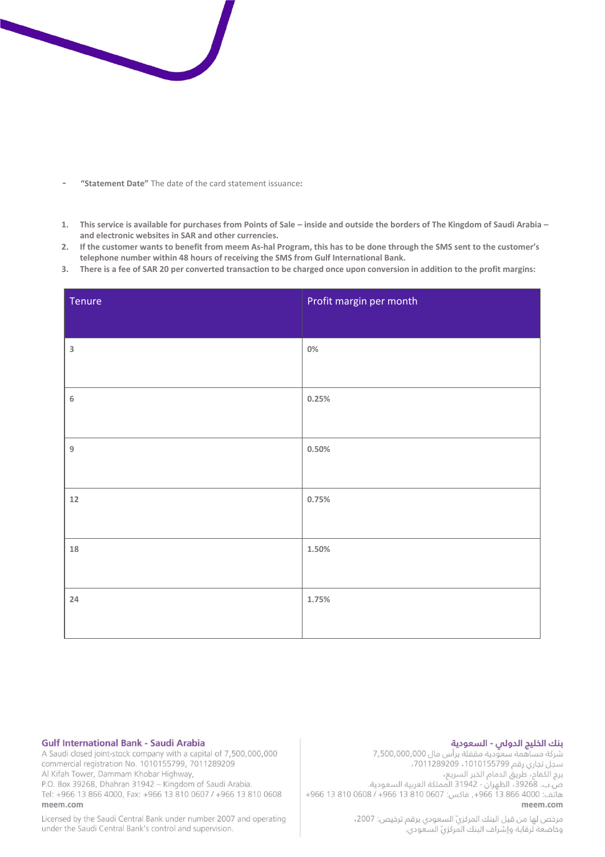

- **- "Statement Date"** The date of the card statement issuance**:**
- **1. This service is available for purchases from Points of Sale – inside and outside the borders of The Kingdom of Saudi Arabia – and electronic websites in SAR and other currencies.**
- **2. If the customer wants to benefit from meem As-hal Program, this has to be done through the SMS sent to the customer's telephone number within 48 hours of receiving the SMS from Gulf International Bank.**
- **3. There is a fee of SAR 20 per converted transaction to be charged once upon conversion in addition to the profit margins:**

| Tenure           | Profit margin per month |
|------------------|-------------------------|
| $\mathsf 3$      | $0\%$                   |
| $\,$ 6 $\,$      | 0.25%                   |
| $\boldsymbol{9}$ | $0.50\%$                |
| $12\,$           | 0.75%                   |
|                  |                         |
| $18\,$           | 1.50%                   |
| 24               | 1.75%                   |
|                  |                         |

### **Gulf International Bank - Saudi Arabia**

A Saudi closed joint-stock company with a capital of 7,500,000,000 commercial registration No. 1010155799, 7011289209 Al Kifah Tower, Dammam Khobar Highway, P.O. Box 39268, Dhahran 31942 - Kingdom of Saudi Arabia.

Tel: +966 13 866 4000, Fax: +966 13 810 0607 / +966 13 810 0608 meem com

Licensed by the Saudi Central Bank under number 2007 and operating under the Saudi Central Bank's control and supervision.

## بنك الخليج الدولى - السعودية

شركة مساهمة سعودية مقفلة برأس مال 7,500,000,000 سجل تجاري رقم 1010155799، 7011289209، . يرج الكفاح، طريق الدمام الخبر السريع،<br>برج الكفاح، طريق الدمام الخبر السريع،<br>ص.ب. 39268، الظهران - 31942 المملكة العربية السعودية. هاتف: 4000 866 13 866 , فاكس: 0607 810 966 4966 968 966 966+ meem.com

> مرخص لها من قبل البنك المركزيّ السعودي برقم ترخيص: 2007، وذاضعة لرقابة وإشراف البنك المركزيّ السعودي.